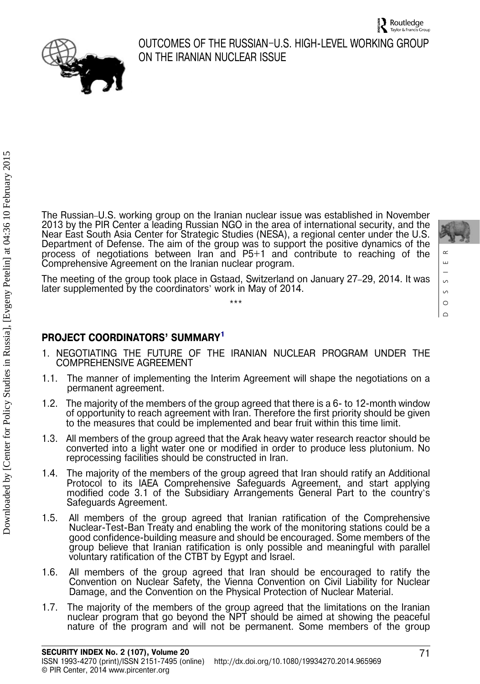

# OUTCOMES OF THE RUSSIAN–U.S. HIGH-LEVEL WORKING GROUP ON THE IRANIAN NUCLEAR ISSUE

The Russian–U.S. working group on the Iranian nuclear issue was established in November 2013 by the PIR Center a leading Russian NGO in the area of international security, and the Near East South Asia Center for Strategic Studies (NESA), a regional center under the U.S. Department of Defense. The aim of the group was to support the positive dynamics of the process of negotiations between Iran and P5+1 and contribute to reaching of the Comprehensive Agreement on the Iranian nuclear program.

The meeting of the group took place in Gstaad, Switzerland on January 27–29, 2014. It was later supplemented by the coordinators' work in May of 2014. \*\*\*

# PROJECT COORDINATORS' SUMMARY[1](#page-3-0)

- 1. NEGOTIATING THE FUTURE OF THE IRANIAN NUCLEAR PROGRAM UNDER THE COMPREHENSIVE AGREEMENT
- 1.1. The manner of implementing the Interim Agreement will shape the negotiations on a permanent agreement.
- 1.2. The majority of the members of the group agreed that there is a 6- to 12-month window of opportunity to reach agreement with Iran. Therefore the first priority should be given to the measures that could be implemented and bear fruit within this time limit.
- 1.3. All members of the group agreed that the Arak heavy water research reactor should be converted into a light water one or modified in order to produce less plutonium. No reprocessing facilities should be constructed in Iran.
- 1.4. The majority of the members of the group agreed that Iran should ratify an Additional Protocol to its IAEA Comprehensive Safeguards Agreement, and start applying modified code 3.1 of the Subsidiary Arrangements General Part to the country's Safeguards Agreement.
- 1.5. All members of the group agreed that Iranian ratification of the Comprehensive Nuclear-Test-Ban Treaty and enabling the work of the monitoring stations could be a good confidence-building measure and should be encouraged. Some members of the group believe that Iranian ratification is only possible and meaningful with parallel voluntary ratification of the CTBT by Egypt and Israel.
- 1.6. All members of the group agreed that Iran should be encouraged to ratify the Convention on Nuclear Safety, the Vienna Convention on Civil Liability for Nuclear Damage, and the Convention on the Physical Protection of Nuclear Material.
- 1.7. The majority of the members of the group agreed that the limitations on the Iranian nuclear program that go beyond the NPT should be aimed at showing the peaceful nature of the program and will not be permanent. Some members of the group

DOSSIER

 $\circ$  $\circ$  $\circ$  $\overline{\phantom{a}}$ 

 $\sim$  $\bar{\Xi}$ 

71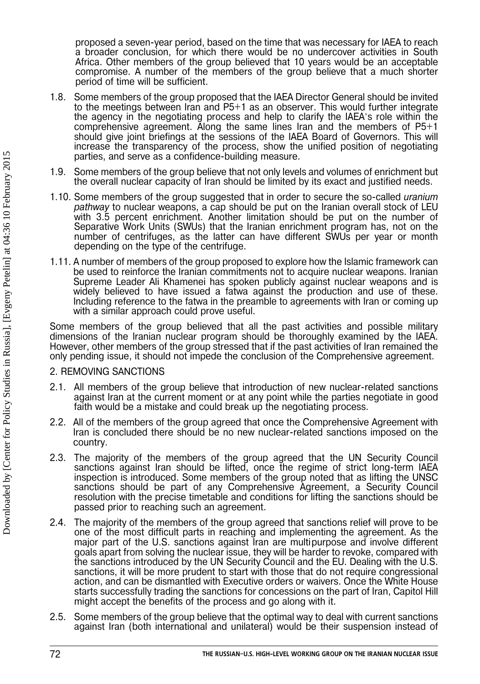proposed a seven-year period, based on the time that was necessary for IAEA to reach a broader conclusion, for which there would be no undercover activities in South Africa. Other members of the group believed that 10 years would be an acceptable compromise. A number of the members of the group believe that a much shorter period of time will be sufficient.

- 1.8. Some members of the group proposed that the IAEA Director General should be invited to the meetings between Iran and P5+1 as an observer. This would further integrate the agency in the negotiating process and help to clarify the IAEA's role within the comprehensive agreement. Along the same lines Iran and the members of P5+1 should give joint briefings at the sessions of the IAEA Board of Governors. This will increase the transparency of the process, show the unified position of negotiating parties, and serve as a confidence-building measure.
- 1.9. Some members of the group believe that not only levels and volumes of enrichment but the overall nuclear capacity of Iran should be limited by its exact and justified needs.
- 1.10. Some members of the group suggested that in order to secure the so-called uranium pathway to nuclear weapons, a cap should be put on the Iranian overall stock of LEU with 3.5 percent enrichment. Another limitation should be put on the number of Separative Work Units (SWUs) that the Iranian enrichment program has, not on the number of centrifuges, as the latter can have different SWUs per year or month depending on the type of the centrifuge.
- 1.11. A number of members of the group proposed to explore how the Islamic framework can be used to reinforce the Iranian commitments not to acquire nuclear weapons. Iranian Supreme Leader Ali Khamenei has spoken publicly against nuclear weapons and is widely believed to have issued a fatwa against the production and use of these. Including reference to the fatwa in the preamble to agreements with Iran or coming up with a similar approach could prove useful.

Some members of the group believed that all the past activities and possible military dimensions of the Iranian nuclear program should be thoroughly examined by the IAEA. However, other members of the group stressed that if the past activities of Iran remained the only pending issue, it should not impede the conclusion of the Comprehensive agreement.

### 2. REMOVING SANCTIONS

- 2.1. All members of the group believe that introduction of new nuclear-related sanctions against Iran at the current moment or at any point while the parties negotiate in good faith would be a mistake and could break up the negotiating process.
- 2.2. All of the members of the group agreed that once the Comprehensive Agreement with Iran is concluded there should be no new nuclear-related sanctions imposed on the country.
- 2.3. The majority of the members of the group agreed that the UN Security Council sanctions against Iran should be lifted, once the regime of strict long-term IAEA inspection is introduced. Some members of the group noted that as lifting the UNSC sanctions should be part of any Comprehensive Agreement, a Security Council resolution with the precise timetable and conditions for lifting the sanctions should be passed prior to reaching such an agreement.
- 2.4. The majority of the members of the group agreed that sanctions relief will prove to be one of the most difficult parts in reaching and implementing the agreement. As the major part of the U.S. sanctions against Iran are multipurpose and involve different goals apart from solving the nuclear issue, they will be harder to revoke, compared with the sanctions introduced by the UN Security Council and the EU. Dealing with the U.S. sanctions, it will be more prudent to start with those that do not require congressional action, and can be dismantled with Executive orders or waivers. Once the White House starts successfully trading the sanctions for concessions on the part of Iran, Capitol Hill might accept the benefits of the process and go along with it.
- 2.5. Some members of the group believe that the optimal way to deal with current sanctions against Iran (both international and unilateral) would be their suspension instead of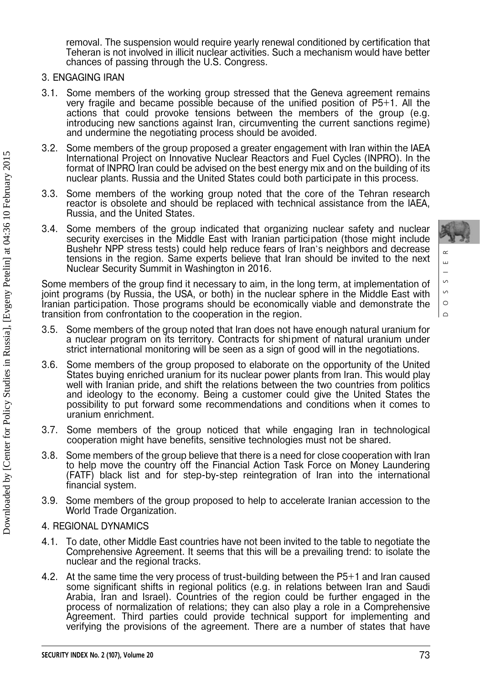removal. The suspension would require yearly renewal conditioned by certification that Teheran is not involved in illicit nuclear activities. Such a mechanism would have better chances of passing through the U.S. Congress.

#### 3. ENGAGING IRAN

- Some members of the working group stressed that the Geneva agreement remains very fragile and became possible because of the unified position of P5+1. All the actions that could provoke tensions between the members of the group (e.g. introducing new sanctions against Iran, circumventing the current sanctions regime) and undermine the negotiating process should be avoided.
- 3.2. Some members of the group proposed a greater engagement with Iran within the IAEA International Project on Innovative Nuclear Reactors and Fuel Cycles (INPRO). In the format of INPRO Iran could be advised on the best energy mix and on the building of its nuclear plants. Russia and the United States could both participate in this process.
- 3.3. Some members of the working group noted that the core of the Tehran research reactor is obsolete and should be replaced with technical assistance from the IAEA, Russia, and the United States.
- 3.4. Some members of the group indicated that organizing nuclear safety and nuclear security exercises in the Middle East with Iranian participation (those might include Bushehr NPP stress tests) could help reduce fears of Iran's neighbors and decrease tensions in the region. Same experts believe that Iran should be invited to the next Nuclear Security Summit in Washington in 2016.

Some members of the group find it necessary to aim, in the long term, at implementation of joint programs (by Russia, the USA, or both) in the nuclear sphere in the Middle East with Iranian participation. Those programs should be economically viable and demonstrate the transition from confrontation to the cooperation in the region.

- 3.5. Some members of the group noted that Iran does not have enough natural uranium for a nuclear program on its territory. Contracts for shipment of natural uranium under strict international monitoring will be seen as a sign of good will in the negotiations.
- 3.6. Some members of the group proposed to elaborate on the opportunity of the United States buying enriched uranium for its nuclear power plants from Iran. This would play well with Iranian pride, and shift the relations between the two countries from politics and ideology to the economy. Being a customer could give the United States the possibility to put forward some recommendations and conditions when it comes to uranium enrichment.
- 3.7. Some members of the group noticed that while engaging Iran in technological cooperation might have benefits, sensitive technologies must not be shared.
- 3.8. Some members of the group believe that there is a need for close cooperation with Iran to help move the country off the Financial Action Task Force on Money Laundering (FATF) black list and for step-by-step reintegration of Iran into the international financial system.
- 3.9. Some members of the group proposed to help to accelerate Iranian accession to the World Trade Organization.

### 4. REGIONAL DYNAMICS

- 4.1. To date, other Middle East countries have not been invited to the table to negotiate the Comprehensive Agreement. It seems that this will be a prevailing trend: to isolate the nuclear and the regional tracks.
- 4.2. At the same time the very process of trust-building between the P5+1 and Iran caused some significant shifts in regional politics (e.g. in relations between Iran and Saudi Arabia, Iran and Israel). Countries of the region could be further engaged in the process of normalization of relations; they can also play a role in a Comprehensive Agreement. Third parties could provide technical support for implementing and verifying the provisions of the agreement. There are a number of states that have

DOSSIER

 $\circ$  $\circ$  $\circ$  $\overline{\phantom{a}}$ 

 $\sim$  $\bar{\Xi}$